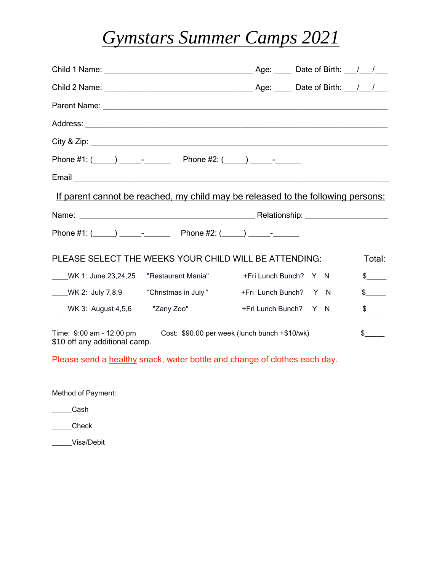## *Gymstars Summer Camps 2021*

| If parent cannot be reached, my child may be released to the following persons:                            |                       |               |
|------------------------------------------------------------------------------------------------------------|-----------------------|---------------|
|                                                                                                            |                       |               |
|                                                                                                            |                       |               |
| PLEASE SELECT THE WEEKS YOUR CHILD WILL BE ATTENDING:                                                      |                       | Total:        |
| WK 1: June 23,24,25<br>"Restaurant Mania"                                                                  | +Fri Lunch Bunch? Y N | $\frac{1}{2}$ |
| WK 2: July 7,8,9 "Christmas in July"                                                                       | +Fri Lunch Bunch? Y N | $\frac{1}{2}$ |
| WK 3: August 4,5,6 "Zany Zoo"                                                                              | +Fri Lunch Bunch? Y N | $\frac{1}{2}$ |
| Cost: \$90.00 per week (lunch bunch +\$10/wk)<br>Time: 9:00 am - 12:00 pm<br>\$10 off any additional camp. |                       | $\frac{1}{2}$ |

Please send a healthy snack, water bottle and change of clothes each day.

Method of Payment:

\_\_\_\_\_Cash

\_\_\_\_\_Check

\_\_\_\_\_Visa/Debit